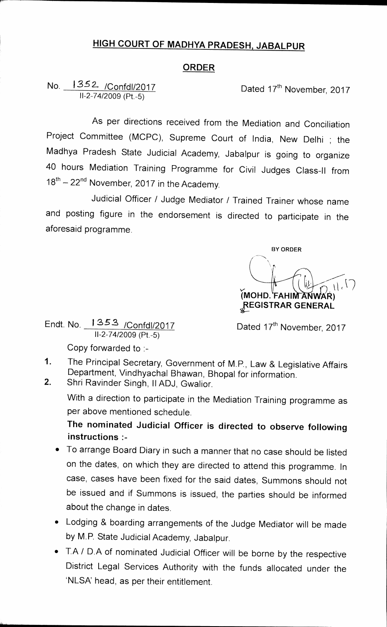## **HIGH COURT OF MADHYA PRADESH, JABALPUR**

## **ORDER**

## No. 1352 / Confdl/2017 **Dated 17<sup>th</sup> November, 2017** 11-2-74/2009 (Pt.-5)

**As per directions received from the Mediation and Conciliation Project Committee (MCPC), Supreme Court of India, New Delhi ; the Madhya Pradesh State Judicial Academy, Jabalpur is going to organize 40 hours Mediation Training Programme for Civil Judges Class-II from 18th 22nd November, 2017 in the Academy.** 

**Judicial Officer / Judge Mediator / Trained Trainer whose name and posting figure in the endorsement is directed to participate in the aforesaid programme.** 

**BY ORDER (MOHD. FAHIM ANWAR) ZEGISTRAR GENERAL** 

Endt. No. 1353 /Confdl/2017 11-2-74/2009 (Pt.-5)

Dated 17<sup>th</sup> November, 2017

**Copy forwarded to** 

- **1. The Principal Secretary, Government of M.P., Law & Legislative Affairs Department, Vindhyachal Bhawan, Bhopal for information.**
- **2. Shri Ravinder Singh, II ADJ, Gwalior.**

**With a direction to participate in the Mediation Training programme as per above mentioned schedule.** 

**The nominated Judicial Officer is directed to observe following instructions :-** 

- **To arrange Board Diary in such a manner that no case should be listed on the dates, on which they are directed to attend this programme. In case, cases have been fixed for the said dates, Summons should not be issued and if Summons is issued, the parties should be informed about the change in dates.**
- **Lodging & boarding arrangements of the Judge Mediator will be made by M.P. State Judicial Academy, Jabalpur.**
- **T.A / D.A of nominated Judicial Officer will be borne by the respective District Legal Services Authority with the funds allocated under the**  'NLSA' head, as per their entitlement.